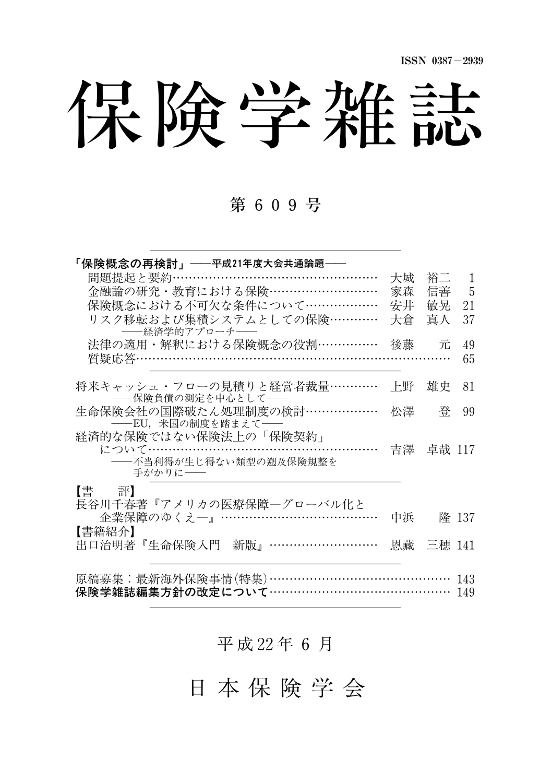ISSN 0387-2939

保険学雑誌

### 第 609号

| 「保険概念の再検討」──平成21年度大会共通論題──                          |    |           |       |
|-----------------------------------------------------|----|-----------|-------|
| 問題提起と要約……………………………………………                            | 大城 | 裕二        | 1     |
| 金融論の研究・教育における保険………………………                            | 家森 | 信善        | 5     |
| 保険概念における不可欠な条件について………………                            | 安井 | 敏晃        | 21    |
| リスク移転および集積システムとしての保険…………<br>――経済学的アプローチ――           | 大倉 | 真人        | 37    |
| 法律の適用・解釈における保険概念の役割……………                            | 後藤 | 元         | 49    |
| 質疑応答…………………………………<br>.                              |    |           | 65    |
| 将来キャッシュ・フローの見積りと経営者裁量…………<br>――保険負債の測定を中心として――      | 上野 | 雄史        | 81    |
| 生命保険会社の国際破たん処理制度の検討………………                           | 松澤 | 登         | 99    |
| -----EU, 米国の制度を踏まえて-----                            |    |           |       |
| 経済的な保険ではない保険法上の「保険契約」                               |    |           |       |
| について…………………………………………………                             |    | 吉澤 卓哉 117 |       |
| ――不当利得が生じ得ない類型の遡及保険規整を<br>手がかりに––                   |    |           |       |
| 【書 評】                                               |    |           |       |
| 長谷川千春著『アメリカの医療保障ーグローバル化と<br>企業保障のゆくえー』………………………………… | 中浜 |           | 降 137 |
| 【書籍紹介】                                              |    |           |       |
| 出口治明著『生命保険入門 新版』………………………                           |    | 恩藏 三穂 141 |       |
|                                                     |    |           |       |
| 原稿募集:最新海外保険事情(特集)………………………………………                    |    |           | 143   |
| 保険学雑誌編集方針の改定について……………………………………                      |    |           | 149   |

平 成 22年 6 月

日 本 保 険 学 会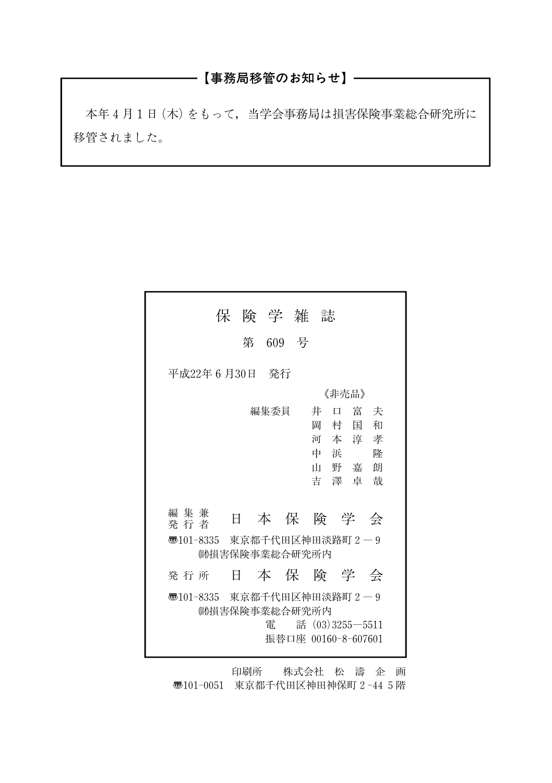### ────【事務局移管のお知らせ】───────

本年4月1日(木)をもって,当学会事務局は損害保険事業総合研究所に 移管されました。

| 保 険 学 雑 誌                                                                                                                                             |  |  |  |  |
|-------------------------------------------------------------------------------------------------------------------------------------------------------|--|--|--|--|
| 第 609 号                                                                                                                                               |  |  |  |  |
| 平成22年6月30日 発行                                                                                                                                         |  |  |  |  |
| 《非壳品》                                                                                                                                                 |  |  |  |  |
| 編集委員<br>口 富 夫<br>井<br>岡<br>国<br>和<br>村<br>河本淳孝<br>中 浜<br>降<br>山野嘉朗<br>吉澤卓哉<br>編集兼<br>本保険学会<br>日<br>発行者<br>301-8335 東京都千代田区神田淡路町 2-9<br>(助捐害保険事業総合研究所内 |  |  |  |  |
| 発 行 所                                                                                                                                                 |  |  |  |  |
| 本保険学会<br>Ħ.                                                                                                                                           |  |  |  |  |
| 零101-8335 東京都千代田区神田淡路町2―9<br>(助損害保険事業総合研究所内<br>雷<br>話 $(03)3255 - 5511$<br>振替口座 00160-8-607601                                                        |  |  |  |  |

印刷所 株式会社 松 濤 企 画

〠101-0051 東京都千代田区神田神保町2-445階